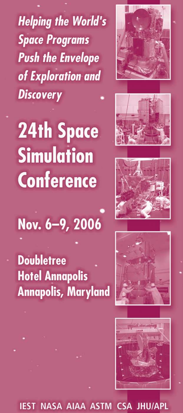**Helping the World's Space Programs Push the Envelope** of Exploration and **Discovery** 

# **24th Space Simulation Conference**











NASA AIAA ASTM CSA JHU/APL IFST



**Doubletree Hotel Annapolis Annapolis, Maryland**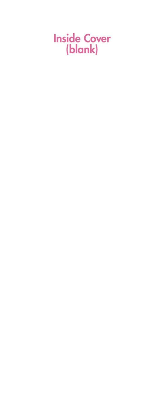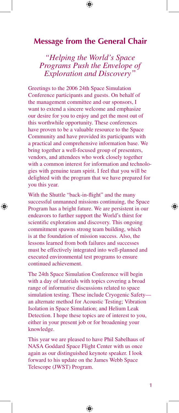# **Message from the General Chair**

*"Helping the World's Space Programs Push the Envelope of Exploration and Discovery"*

Greetings to the 2006 24th Space Simulation Conference participants and guests. On behalf of the management committee and our sponsors, I want to extend a sincere welcome and emphasize our desire for you to enjoy and get the most out of this worthwhile opportunity. These conferences have proven to be a valuable resource to the Space Community and have provided its participants with a practical and comprehensive information base. We bring together a well-focused group of presenters, vendors, and attendees who work closely together with a common interest for information and technologies with genuine team spirit. I feel that you will be delighted with the program that we have prepared for you this year.

With the Shuttle "back-in-flight" and the many successful unmanned missions continuing, the Space Program has a bright future. We are persistent in our endeavors to further support the World's thirst for scientific exploration and discovery. This ongoing commitment spawns strong team building, which is at the foundation of mission success. Also, the lessons learned from both failures and successes must be effectively integrated into well-planned and executed environmental test programs to ensure continued achievement.

⊕

The 24th Space Simulation Conference will begin with a day of tutorials with topics covering a broad range of informative discussions related to space simulation testing. These include Cryogenic Safety an alternate method for Acoustic Testing; Vibration Isolation in Space Simulation; and Helium Leak Detection. I hope these topics are of interest to you, either in your present job or for broadening your knowledge.

This year we are pleased to have Phil Sabelhaus of NASA Goddard Space Flight Center with us once again as our distinguished keynote speaker. I look forward to his update on the James Webb Space Telescope (JWST) Program.

⊕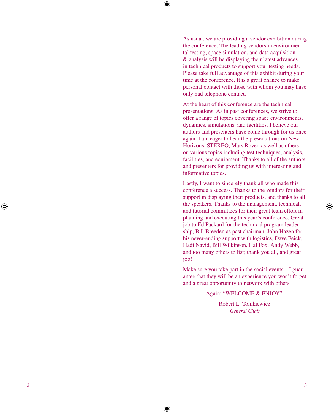⊕

As usual, we are providing a vendor exhibition during the conference. The leading vendors in environmen tal testing, space simulation, and data acquisition & analysis will be displaying their latest advances in technical products to support your testing needs. Please take full advantage of this exhibit during your time at the conference. It is a great chance to make personal contact with those with whom you may have only had telephone contact.

At the heart of this conference are the technical presentations. As in past conferences, we strive to offer a range of topics covering space environments, dynamics, simulations, and facilities. I believe our authors and presenters have come through for us once again. I am eager to hear the presentations on New Horizons, STEREO, Mars Rover, as well as others on various topics including test techniques, analysis, facilities, and equipment. Thanks to all of the authors and presenters for providing us with interesting and informative topics.

Lastly, I want to sincerely thank all who made this conference a success. Thanks to the vendors for their support in displaying their products, and thanks to all the speakers. Thanks to the management, technical, and tutorial committees for their great team effort in planning and executing this year's conference. Great job to Ed Packard for the technical program leader ship, Bill Breeden as past chairman, John Hazen for his never-ending support with logistics, Dave Feick, Hadi Navid, Bill Wilkinson, Hal Fox, Andy Webb, and too many others to list; thank you all, and great job!

Make sure you take part in the social events—I guarantee that they will be an experience you won't forget and a great opportunity to network with others.

#### Again: "W ELCOM E & ENJOY"

Robert L. Tomkiewicz *General Chair*

 $\overline{3}$ 

↔

↔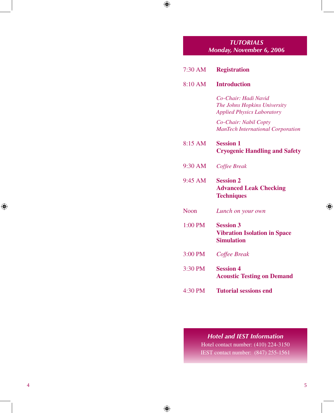# *TUTORIALS Monday, November 6, 2006*

 $\bigoplus$ 

 $\bigoplus$ 

| 7:30 AM     | <b>Registration</b>                                                                       |  |
|-------------|-------------------------------------------------------------------------------------------|--|
| 8:10 AM     | <b>Introduction</b>                                                                       |  |
|             | Co-Chair: Hadi Navid<br>The Johns Hopkins University<br><b>Applied Physics Laboratory</b> |  |
|             | Co-Chair: Nabil Copty<br><b>ManTech International Corporation</b>                         |  |
| 8:15 AM     | <b>Session 1</b><br><b>Cryogenic Handling and Safety</b>                                  |  |
| 9:30 AM     | Coffee Break                                                                              |  |
| $9:45$ AM   | <b>Session 2</b><br><b>Advanced Leak Checking</b><br><b>Techniques</b>                    |  |
| <b>Noon</b> | Lunch on your own                                                                         |  |
| 1:00 PM     | <b>Session 3</b><br><b>Vibration Isolation in Space</b><br><b>Simulation</b>              |  |
| 3:00 PM     | Coffee Break                                                                              |  |
| 3:30 PM     | <b>Session 4</b><br><b>Acoustic Testing on Demand</b>                                     |  |
| 4:30 PM     | <b>Tutorial sessions end</b>                                                              |  |

# *Hotel and IEST Information*

Hotel contact number: (410) 224-3150 IEST contact number: (847) 255-1561

 $\bigoplus$ 

 $\bigoplus$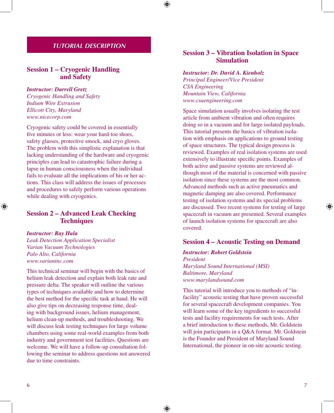# *TUTORIAL DESCRIPTION*

# **Session 1 – Cryogenic Handling and Safety**

#### *Instructor: Darrell Gretz*

*Cryogenic Handling and Safety Indium Wire Extrusion Ellicott City, Maryland www.nicecorp.com*

Cryogenic safety could be covered in essentially five minutes or less: wear your hard-toe shoes, safety glasses, protective smock, and cryo gloves. The problem with this simplistic explanation is that lacking understanding of the hardware and cryogenic principles can lead to catastrophic failure during a lapse in human consciousness when the individual fails to evaluate all the implications of his or her actions. This class will address the issues of processes and procedures to safely perform various operations while dealing with cryogenics.

# **Session 2 – Advanced Leak Checking Techniques**

#### *Instructor: Ray Hula*

⊕

*Leak Detection Application Specialist Varian Vacuum Technologies Palo Alto, California www.varianinc.com*

This technical seminar will begin with the basics of helium leak detection and explain both leak rate and pressure delta. The speaker will outline the various types of techniques available and how to determine the best method for the specific task at hand. He will also give tips on decreasing response time, dealing with background issues, helium management, helium clean-up methods, and troubleshooting. We will discuss leak testing techniques for large volume chambers using some real-world examples from both industry and government test facilities. Questions are welcome. We will have a follow-up consultation following the seminar to address questions not answered due to time constraints.

# **Session 3 – Vibration Isolation in Space Simulation**

#### *Instructor: Dr. David A. Kienholz*

*Principal Engineer/Vice President CSA Engineering Mountain View, California www.csaengineering.com*

Space simulation usually involves isolating the test article from ambient vibration and often requires doing so in a vacuum and for large isolated payloads. This tutorial presents the basics of vibration isolation with emphasis on applications to ground testing of space structures. The typical design process is reviewed. Examples of real isolation systems are used extensively to illustrate specific points. Examples of both active and passive systems are reviewed although most of the material is concerned with passive isolation since these systems are the most common. Advanced methods such as active pneumatics and magnetic damping are also covered. Performance testing of isolation systems and its special problems are discussed. Two recent systems for testing of large spacecraft in vacuum are presented. Several examples of launch isolation systems for spacecraft are also covered.

## **Session 4 – Acoustic Testing on Demand**

#### *Instructor: Robert Goldstein*

⊕

*President Maryland Sound International (MSI) Baltimore, Maryland www.marylandsound.com*

This tutorial will introduce you to methods of "infacility" acoustic testing that have proven successful for several spacecraft development companies. You will learn some of the key ingredients to successful tests and facility requirements for such tests. After a brief introduction to these methods, Mr. Goldstein will join participants in a Q&A format. Mr. Goldstein is the Founder and President of Maryland Sound International, the pioneer in on-site acoustic testing.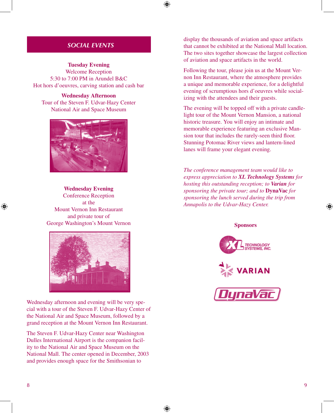⊕

# *SOCIAL EVENTS*

**Tuesday Evening** Welcome Reception 5:30 to 7:00 PM in Arundel B&C Hot hors d'oeuvres, carving station and cash bar

**Wednesday Afternoon** Tour of the Steven F. Udvar-Hazy Center National Air and Space Museum



# **Wednesday Evening** Conference Reception at the Mount Vernon Inn Restaurant and private tour of George Washington's Mount Vernon



Wednesday afternoon and evening will be very special with a tour of the Steven F. Udvar-Hazy Center of the National Air and Space Museum, followed by a grand reception at the Mount Vernon Inn Restaurant.

The Steven F. Udvar-Hazy Center near Washington Dulles International Airport is the companion facility to the National Air and Space Museum on the National Mall. The center opened in December, 2003 and provides enough space for the Smithsonian to

display the thousands of aviation and space artifacts that cannot be exhibited at the National Mall location. The two sites together showcase the largest collection of aviation and space artifacts in the world.

Following the tour, please join us at the Mount Vernon Inn Restaurant, where the atmosphere provides a unique and memorable experience, for a delightful evening of scrumptious hors d'oeuvres while socializing with the attendees and their guests.

The evening will be topped off with a private candlelight tour of the Mount Vernon Mansion, a national historic treasure. You will enjoy an intimate and memorable experience featuring an exclusive Mansion tour that includes the rarely-seen third floor. Stunning Potomac River views and lantern-lined lanes will frame your elegant evening.

*The conference management team would like to express appreciation to XL Technology Systems for hosting this outstanding reception; to Varian for sponsoring the private tour; and to* **DynaVac** *for sponsoring the lunch served during the trip from Annapolis to the Udvar-Hazy Center.*

#### **Sponsors**







⊕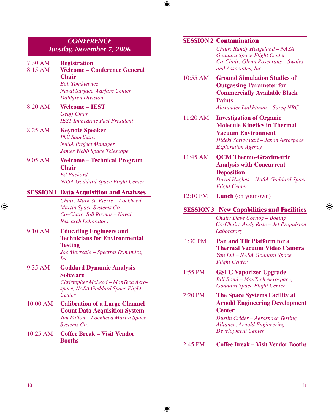# *CONFERENCE Tuesday, November 7, 2006*

| 7:30 AM<br>8:15 AM | <b>Registration</b><br><b>Welcome - Conference General</b><br><b>Chair</b><br><b>Bob Tomkiewicz</b><br><b>Naval Surface Warfare Center</b><br><b>Dahlgren Division</b> |
|--------------------|------------------------------------------------------------------------------------------------------------------------------------------------------------------------|
| 8:20 AM            | <b>Welcome - IEST</b><br><b>Geoff Cmar</b><br><b>IEST Immediate Past President</b>                                                                                     |
| $8:25$ AM          | <b>Keynote Speaker</b><br><b>Phil Sabelhaus</b><br><b>NASA Project Manager</b><br>James Webb Space Telescope                                                           |
| $9:05$ AM          | <b>Welcome - Technical Program</b><br><b>Chair</b><br><b>Ed Packard</b><br><b>NASA Goddard Space Flight Center</b>                                                     |
|                    | <b>SESSION 1 Data Acquisition and Analyses</b>                                                                                                                         |
|                    | Chair: Mark St. Pierre - Lockheed<br>Martin Space Systems Co.<br>Co-Chair: Bill Raynor - Naval<br><b>Research Laboratory</b>                                           |
| 9:10 AM            | <b>Educating Engineers and</b><br><b>Technicians for Environmental</b><br><b>Testing</b><br>Joe Morreale - Spectral Dynamics,<br>Inc.                                  |
| 9:35 AM            | <b>Goddard Dynamic Analysis</b><br><b>Software</b><br>Christopher McLeod - ManTech Aero-<br>space, NASA Goddard Space Flight<br>Center                                 |
| 10:00 AM           | <b>Calibration of a Large Channel</b><br><b>Count Data Acquisition System</b><br>Jim Fallon - Lockheed Martin Space<br>Systems Co.                                     |
| $10:25$ AM         | <b>Coffee Break - Visit Vendor</b>                                                                                                                                     |

#### **SESSION 2 Contamination**

 $\bigoplus$ 

⊕

*Chair: Randy Hedgeland – NASA Goddard Space Flight Center Co-Chair: Glenn Rosecrans – Swales and Associates, Inc.* 

- 10:55 AM **Ground Simulation Studies of Outgassing Parameter for Commercially Available Black Paints** *Alexander Laikhtman – Soreq NRC*
- 11:20 AM **Investigation of Organic Molecule Kinetics in Thermal Vacuum Environment** *Hideki Saruwatari – Japan Aerospace Exploration Agency*
- 11:45 AM **QCM Thermo-Gravimetric Analysis with Concurrent Deposition** *David Hughes – NASA Goddard Space Flight Center*
- 12:10 PM **Lunch** (on your own)

#### **SESSION 3 New Capabilities and Facilities**

*Chair: Dave Cornog – Boeing Co-Chair: Andy Rose – Jet Propulsion Laboratory* 

1:30 PM **Pan and Tilt Platform for a Thermal Vacuum Video Camera** *Yan Lui – NASA Goddard Space Flight Center*

- 1:55 PM **GSFC Vaporizer Upgrade** *Bill Bond – ManTech Aerospace, Goddard Space Flight Center*
- 2:20 PM **The Space Systems Facility at Arnold Engineering Development Center**

*Dustin Crider – Aerospace Testing Alliance, Arnold Engineering Development Center*

#### 2:45 PM **Coffee Break – Visit Vendor Booths**

⊕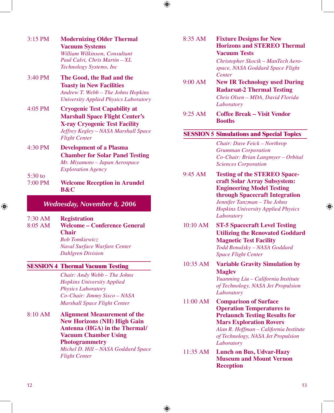

| $3:15$ PM                    | <b>Modernizing Older Thermal</b><br><b>Vacuum Systems</b><br>William Wilkinson, Consultant<br>Paul Calvi, Chris Martin - XL<br>Technology Systems, Inc                               |  |  |
|------------------------------|--------------------------------------------------------------------------------------------------------------------------------------------------------------------------------------|--|--|
| $3:40$ PM                    | The Good, the Bad and the<br><b>Toasty in New Facilities</b><br>Andrew T. Webb - The Johns Hopkins<br>University Applied Physics Laboratory                                          |  |  |
| $4:05$ PM                    | <b>Cryogenic Test Capability at</b><br><b>Marshall Space Flight Center's</b><br><b>X-ray Cryogenic Test Facility</b><br>Jeffrey Kegley - NASA Marshall Space<br><b>Flight Center</b> |  |  |
| 4:30 PM                      | <b>Development of a Plasma</b><br><b>Chamber for Solar Panel Testing</b><br>Mr. Miyamoto – Japan Aerospace<br><b>Exploration Agency</b>                                              |  |  |
| $5:30$ to<br>$7:00$ PM       | <b>Welcome Reception in Arundel</b><br><b>B&amp;C</b>                                                                                                                                |  |  |
| Wednesday, November 8, 2006  |                                                                                                                                                                                      |  |  |
| $7:30 \text{ AM}$<br>8:05 AM | <b>Registration</b><br><b>Welcome – Conference General</b><br><b>Chair</b><br><b>Bob Tomkiewicz</b><br>Naval Surface Warfare Center                                                  |  |  |

**SESSION 4 Thermal Vacuum Testing** 

*Dahlgren Division*

# *Chair: Andy Webb – The Johns Hopkins University Applied Physics Laboratory Co-Chair: Jimmy Sisco – NASA Marshall Space Flight Center*

8:10 AM **Alignment Measurement of the New Horizons (NH) High Gain Antenna (HGA) in the Thermal/ Vacuum Chamber Using Photogrammetry**  *Michel D. Hill – NASA Goddard Space Flight Center* 

8:35 AM **Fixture Designs for New Horizons and STEREO Thermal Vacuum Tests**

> *Christopher Skocik – ManTech Aerospace, NASA Goddard Space Flight Center*

- 9:00 AM **New IR Technology used During Radarsat-2 Thermal Testing** *Chris Olsen – MDA, David Florida Laboratory*
- 9:25 AM **Coffee Break Visit Vendor Booths**

# **SESSION 5 Simulations and Special Topics**

*Chair: Dave Feick – Northrop Grumman Corporation Co-Chair: Brian Langmyer – Orbital Sciences Corporation*

- 9:45 AM **Testing of the STEREO Spacecraft Solar Array Subsystem: Engineering Model Testing through Spacecraft Integration** *Jennifer Tanzman – The Johns Hopkins University Applied Physics Laboratory*
- 10:10 AM **ST-5 Spacecraft Level Testing Utilizing the Renovated Goddard Magnetic Test Facility** *Todd Bonalsky – NASA Goddard Space Flight Center*
- 10:35 AM **Variable Gravity Simulation by Maglev**

*Yuanming Liu – California Institute of Technology, NASA Jet Propulsion Laboratory*

11:00 AM **Comparison of Surface Operation Temperatures to Prelaunch Testing Results for Mars Exploration Rovers** *Alan R. Hoffman – California Institute of Technology, NASA Jet Propulsion Laboratory*

11:35 AM **Lunch on Bus, Udvar-Hazy Museum and Mount Vernon Reception**

 $12$  and  $13$  and  $13$  and  $13$  and  $13$  and  $13$  and  $13$  and  $13$  and  $13$  and  $13$  and  $13$  and  $13$  and  $13$  and  $13$  and  $13$  and  $13$  and  $13$  and  $13$  and  $13$  and  $13$  and  $13$  and  $13$  and  $13$  and  $13$  and  $13$ 

⊕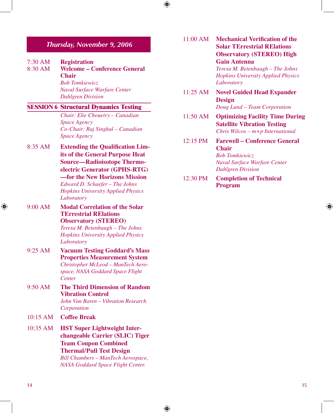# *Thursday, November 9, 2006*

| $7:30 \text{ AM}$ | <b>Registration</b>                 |
|-------------------|-------------------------------------|
| $8:30$ AM         | <b>Welcome – Conference General</b> |
|                   | <b>Chair</b>                        |
|                   | <b>Bob Tomkiewicz</b>               |
|                   | <b>Naval Surface Warfare Center</b> |
|                   | <b>Dahlgren Division</b>            |
|                   |                                     |

## **SESSION 6 Structural Dynamics Testing**

*Chair: Elie Choueiry – Canadian Space Agency Co-Chair: Raj Singhal – Canadian Space Agency*

8:35 AM **Extending the Qualification Limits of the General Purpose Heat Source—Radioisotope Thermoelectric Generator (GPHS-RTG) —for the New Horizons Mission** *Edward D. Schaefer – The Johns* 

*Hopkins University Applied Physics Laboratory*

9:00 AM **Modal Correlation of the Solar TErrestrial RElations Observatory (STEREO)**

*Teresa M. Betenbaugh – The Johns Hopkins University Applied Physics Laboratory*

- 9:25 AM **Vacuum Testing Goddard's Mass Properties Measurement System** *Christopher McLeod – ManTech Aerospace, NASA Goddard Space Flight Center*
- 9:50 AM **The Third Dimension of Random Vibration Control** *John Van Baren – Vibration Research Corporation*
- 10:15 AM **Coffee Break**
- 10:35 AM **HST Super Lightweight Interchangeable Carrier (SLIC) Tiger Team Coupon Combined Thermal/Pull Test Design** *Bill Chambers – ManTech Aerospace,*

*NASA Goddard Space Flight Center.*

⊕

11:00 AM **Mechanical Verification of the Solar TErrestrial RElations Observatory (STEREO) High Gain Antenna** 

> *Teresa M. Betenbaugh – The Johns Hopkins University Applied Physics Laboratory*

- 11:25 AM **Novel Guided Head Expander Design** *Doug Lund – Team Corporation*
- 11:50 AM **Optimizing Facility Time During Satellite Vibration Testing**  *Chris Wilcox – m+p International*
- 12:15 PM **Farewell Conference General Chair**  *Bob Tomkiewicz*

*Naval Surface Warfare Center Dahlgren Division* 

12:30 PM **Completion of Technical Program**

 $14$ 

⊕

↔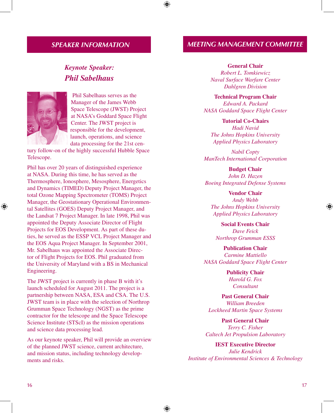# *SPEAKER INFORMATION*

# *Keynote Speaker: Phil Sabelhaus*



↔

 Phil Sabelhaus serves as the Manager of the James Webb Space Telescope (JWST) Project at NASA's Goddard Space Flight Center. The JWST project is responsible for the development, launch, operations, and science data processing for the 21st cen-

tury follow-on of the highly successful Hubble Space Telescope.

Phil has over 20 years of distinguished experience at NASA. During this time, he has served as the Thermosphere, Ionosphere, Mesosphere, Energetics and Dynamics (TIMED) Deputy Project Manager, the total Ozone Mapping Spectrometer (TOMS) Project Manager, the Geostationary Operational Environmental Satellites (GOES) Deputy Project Manager, and the Landsat 7 Project Manager. In late 1998, Phil was appointed the Deputy Associate Director of Flight Projects for EOS Development. As part of these duties, he served as the ESSP VCL Project Manager and the EOS Aqua Project Manager. In September 2001, Mr. Sabelhaus was appointed the Associate Director of Flight Projects for EOS. Phil graduated from the University of Maryland with a BS in Mechanical Engineering.

The JWST project is currently in phase B with it's launch scheduled for August 2011. The project is a partnership between NASA, ESA and CSA. The U.S. JWST team is in place with the selection of Northrop Grumman Space Technology (NGST) as the prime contractor for the telescope and the Space Telescope Science Institute (STScI) as the mission operations and science data processing lead.

As our keynote speaker, Phil will provide an overview of the planned JWST science, current architecture, and mission status, including technology developments and risks.

# *MEETING MANAGEMENT COMMITTEE*

#### **General Chair**

*Robert L. Tomkiewicz Naval Surface Warfare Center Dahlgren Division*

**Technical Program Chair** *Edward A. Packard NASA Goddard Space Flight Center*

**Tutorial Co-Chairs** *Hadi Navid The Johns Hopkins University Applied Physics Laboratory*

*Nabil Copty ManTech International Corporation*

**Budget Chair** *John D. Hazen Boeing Integrated Defense Systems*

**Vendor Chair** *Andy Webb The Johns Hopkins University Applied Physics Laboratory*

**Social Events Chair** *Dave Feick Northrop Grumman ESSS*

**Publication Chair** *Carmine Mattiello NASA Goddard Space Flight Center*

> **Publicity Chair** *Harold G. Fox Consultant*

**Past General Chair** *William Breeden Lockheed Martin Space Systems*

**Past General Chair** *Terry C. Fisher Caltech Jet Propulsion Laboratory*

**IEST Executive Director** *Julie Kendrick Institute of Environmental Sciences & Technology*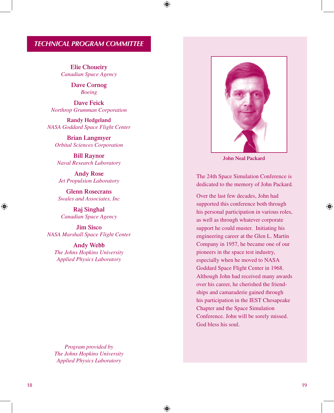# *TECHNICAL PROGRAM COMMITTEE*

⊕

⊕

**Elie Choueiry** *Canadian Space Agency*

> **Dave Cornog** *Boeing*

**Dave Feick** *Northrop Grumman Corporation*

**Randy Hedgeland** *NASA Goddard Space Flight Center*

**Brian Langmyer** *Orbital Sciences Corporation*

**Bill Raynor** *Naval Research Laboratory* 

**Andy Rose** *Jet Propulsion Laboratory* 

**Glenn Rosecrans**  *Swales and Associates, Inc*

**Raj Singhal** *Canadian Space Agency*

**Jim Sisco** *NASA Marshall Space Flight Center*

**Andy Webb** *The Johns Hopkins University Applied Physics Laboratory*

*Program provided by The Johns Hopkins University Applied Physics Laboratory*



**John Neal Packard**

The 24th Space Simulation Conference is dedicated to the memory of John Packard.

Over the last few decades, John had supported this conference both through his personal participation in various roles, as well as through whatever corporate support he could muster. Initiating his engineering career at the Glen L. Martin Company in 1957, he became one of our pioneers in the space test industry, especially when he moved to NASA Goddard Space Flight Center in 1968. Although John had received many awards over his career, he cherished the friendships and camaraderie gained through his participation in the IEST Chesapeake Chapter and the Space Simulation Conference. John will be sorely missed. God bless his soul.

⊕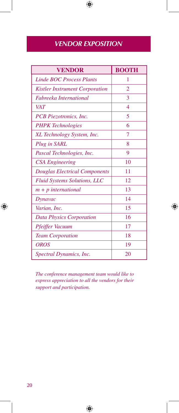# *VENDOR EXPOSITION*

 $\bigoplus$ 

| <b>VENDOR</b>                         | <b>BOOTH</b> |
|---------------------------------------|--------------|
| <b>Linde BOC Process Plants</b>       | 1            |
| <b>Kistler Instrument Corporation</b> | 2            |
| Fabreeka International                | 3            |
| <b>VAT</b>                            | 4            |
| PCB Piezotronics, Inc.                | 5            |
| <b>PHPK</b> Technologies              | 6            |
| XL Technology System, Inc.            | 7            |
| Plug in SARL                          | 8            |
| Pascal Technologies, Inc.             | 9            |
| <b>CSA Engineering</b>                | 10           |
| <b>Douglas Electrical Components</b>  | 11           |
| <b>Fluid Systems Solutions, LLC</b>   | 12           |
| $m + p$ international                 | 13           |
| Dynavac                               | 14           |
| Varian, Inc.                          | 15           |
| <b>Data Physics Corporation</b>       | 16           |
| Pfeiffer Vacuum                       | 17           |
| <b>Team Corporation</b>               | 18           |
| <b>OROS</b>                           | 19           |
| Spectral Dynamics, Inc.               | 20           |

*The conference management team would like to express appreciation to all the vendors for their support and participation.*

 $\bigoplus$ 

 $\bigoplus$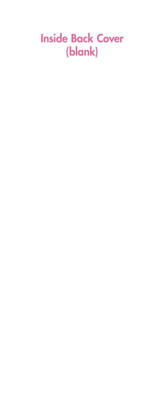# **Inside Back Cover** (blank)